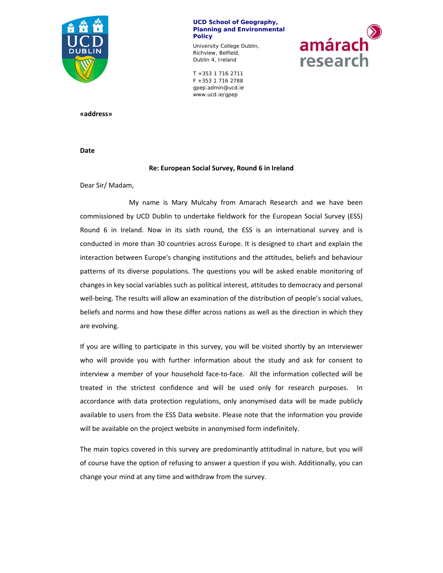

amárach

research

University College Dublin, Richview, Belfield, Dublin 4, Ireland

 $F + 353 1 716 2788$ T +353 1 716 2711 gpep.admin@ucd.ie www.ucd.ie/gpep

**«address»**

**Date** 

### **Re: European Social Survey, Round 6 in Ireland**

Dear Sir/ Madam,

 My name is Mary Mulcahy from Amarach Research and we have been commissioned by UCD Dublin to undertake fieldwork for the European Social Survey (ESS) Round 6 in Ireland. Now in its sixth round, the ESS is an international survey and is conducted in more than 30 countries across Europe. It is designed to chart and explain the interaction between Europe's changing institutions and the attitudes, beliefs and behaviour patterns of its diverse populations. The questions you will be asked enable monitoring of changes in key social variables such as political interest, attitudes to democracy and personal well-being. The results will allow an examination of the distribution of people's social values, beliefs and norms and how these differ across nations as well as the direction in which they are evolving.

If you are willing to participate in this survey, you will be visited shortly by an interviewer who will provide you with further information about the study and ask for consent to interview a member of your household face-to-face. All the information collected will be treated in the strictest confidence and will be used only for research purposes. In accordance with data protection regulations, only anonymised data will be made publicly available to users from the ESS Data website. Please note that the information you provide will be available on the project website in anonymised form indefinitely.

The main topics covered in this survey are predominantly attitudinal in nature, but you will of course have the option of refusing to answer a question if you wish. Additionally, you can change your mind at any time and withdraw from the survey.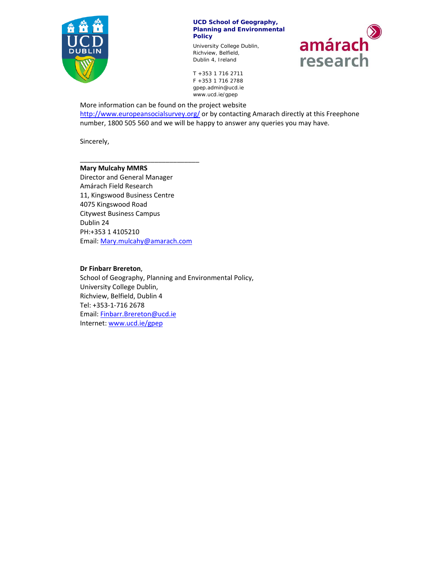

University College Dublin, Richview, Belfield, Dublin 4, Ireland



 $F + 353 1 716 2788$ T +353 1 716 2711 gpep.admin@ucd.ie www.ucd.ie/gpep

More information can be found on the project website http://www.europeansocialsurvey.org/ or by contacting Amarach directly at this Freephone number, 1800 505 560 and we will be happy to answer any queries you may have.

Sincerely,

### **Mary Mulcahy MMRS**

Director and General Manager Amárach Field Research 11, Kingswood Business Centre 4075 Kingswood Road Citywest Business Campus Dublin 24 PH:+353 1 4105210 Email: Mary.mulcahy@amarach.com

\_\_\_\_\_\_\_\_\_\_\_\_\_\_\_\_\_\_\_\_\_\_\_\_\_\_\_\_\_\_\_\_

### **Dr Finbarr Brereton**,

School of Geography, Planning and Environmental Policy, University College Dublin, Richview, Belfield, Dublin 4 Tel: +353‐1‐716 2678 Email: Finbarr.Brereton@ucd.ie Internet: www.ucd.ie/gpep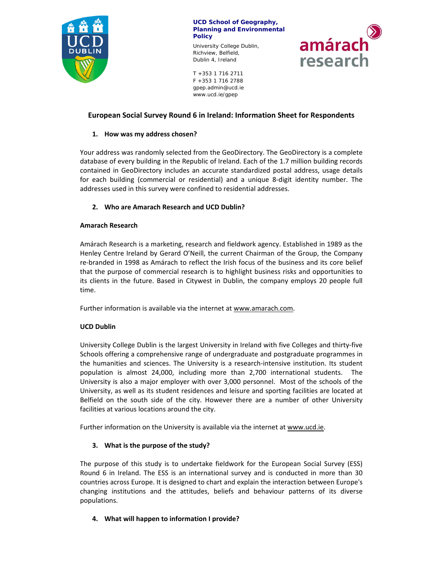

University College Dublin, Richview, Belfield, Dublin 4, Ireland

amárach research

 $F + 353 1 716 2788$ T +353 1 716 2711 gpep.admin@ucd.ie www.ucd.ie/gpep

# **European Social Survey Round 6 in Ireland: Information Sheet for Respondents**

# **1. How was my address chosen?**

Your address was randomly selected from the GeoDirectory. The GeoDirectory is a complete database of every building in the Republic of Ireland. Each of the 1.7 million building records contained in GeoDirectory includes an accurate standardized postal address, usage details for each building (commercial or residential) and a unique 8‐digit identity number. The addresses used in this survey were confined to residential addresses.

# **2. Who are Amarach Research and UCD Dublin?**

### **Amarach Research**

Amárach Research is a marketing, research and fieldwork agency. Established in 1989 as the Henley Centre Ireland by Gerard O'Neill, the current Chairman of the Group, the Company re-branded in 1998 as Amárach to reflect the Irish focus of the business and its core belief that the purpose of commercial research is to highlight business risks and opportunities to its clients in the future. Based in Citywest in Dublin, the company employs 20 people full time.

Further information is available via the internet at www.amarach.com.

# **UCD Dublin**

University College Dublin is the largest University in Ireland with five Colleges and thirty‐five Schools offering a comprehensive range of undergraduate and postgraduate programmes in the humanities and sciences. The University is a research‐intensive institution. Its student population is almost 24,000, including more than 2,700 international students. The University is also a major employer with over 3,000 personnel. Most of the schools of the University, as well as its student residences and leisure and sporting facilities are located at Belfield on the south side of the city. However there are a number of other University facilities at various locations around the city.

Further information on the University is available via the internet at www.ucd.ie.

# **3. What is the purpose of the study?**

The purpose of this study is to undertake fieldwork for the European Social Survey (ESS) Round 6 in Ireland. The ESS is an international survey and is conducted in more than 30 countries across Europe. It is designed to chart and explain the interaction between Europe's changing institutions and the attitudes, beliefs and behaviour patterns of its diverse populations.

# **4. What will happen to information I provide?**